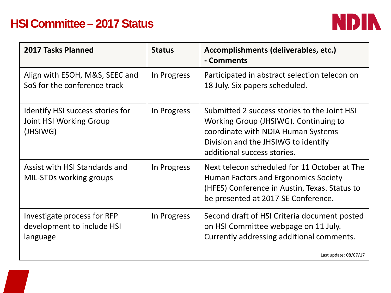## **HSI Committee – 2017 Status**



| 2017 Tasks Planned                                                      | <b>Status</b> | Accomplishments (deliverables, etc.)<br>- Comments                                                                                                                                                |
|-------------------------------------------------------------------------|---------------|---------------------------------------------------------------------------------------------------------------------------------------------------------------------------------------------------|
| Align with ESOH, M&S, SEEC and<br>SoS for the conference track          | In Progress   | Participated in abstract selection telecon on<br>18 July. Six papers scheduled.                                                                                                                   |
| Identify HSI success stories for<br>Joint HSI Working Group<br>(JHSIWG) | In Progress   | Submitted 2 success stories to the Joint HSI<br>Working Group (JHSIWG). Continuing to<br>coordinate with NDIA Human Systems<br>Division and the JHSIWG to identify<br>additional success stories. |
| Assist with HSI Standards and<br>MIL-STDs working groups                | In Progress   | Next telecon scheduled for 11 October at The<br>Human Factors and Ergonomics Society<br>(HFES) Conference in Austin, Texas. Status to<br>be presented at 2017 SE Conference.                      |
| Investigate process for RFP<br>development to include HSI<br>language   | In Progress   | Second draft of HSI Criteria document posted<br>on HSI Committee webpage on 11 July.<br>Currently addressing additional comments.<br>Last update: 08/07/17                                        |